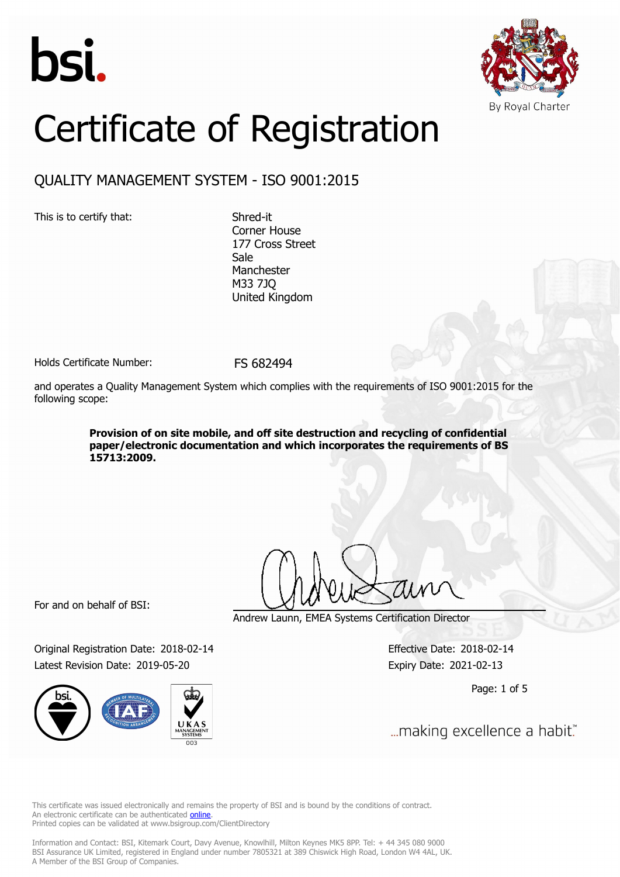



# Certificate of Registration

## QUALITY MANAGEMENT SYSTEM - ISO 9001:2015

This is to certify that: Shred-it

Corner House 177 Cross Street Sale Manchester M33 7JQ United Kingdom

Holds Certificate Number: FS 682494

and operates a Quality Management System which complies with the requirements of ISO 9001:2015 for the following scope:

> **Provision of on site mobile, and off site destruction and recycling of confidential paper/electronic documentation and which incorporates the requirements of BS 15713:2009.**

For and on behalf of BSI:

Original Registration Date: 2018-02-14 Effective Date: 2018-02-14 Latest Revision Date: 2019-05-20 Expiry Date: 2021-02-13



Andrew Launn, EMEA Systems Certification Director

Page: 1 of 5

... making excellence a habit."

This certificate was issued electronically and remains the property of BSI and is bound by the conditions of contract. An electronic certificate can be authenticated **[online](https://pgplus.bsigroup.com/CertificateValidation/CertificateValidator.aspx?CertificateNumber=FS+682494&ReIssueDate=20%2f05%2f2019&Template=uk)**. Printed copies can be validated at www.bsigroup.com/ClientDirectory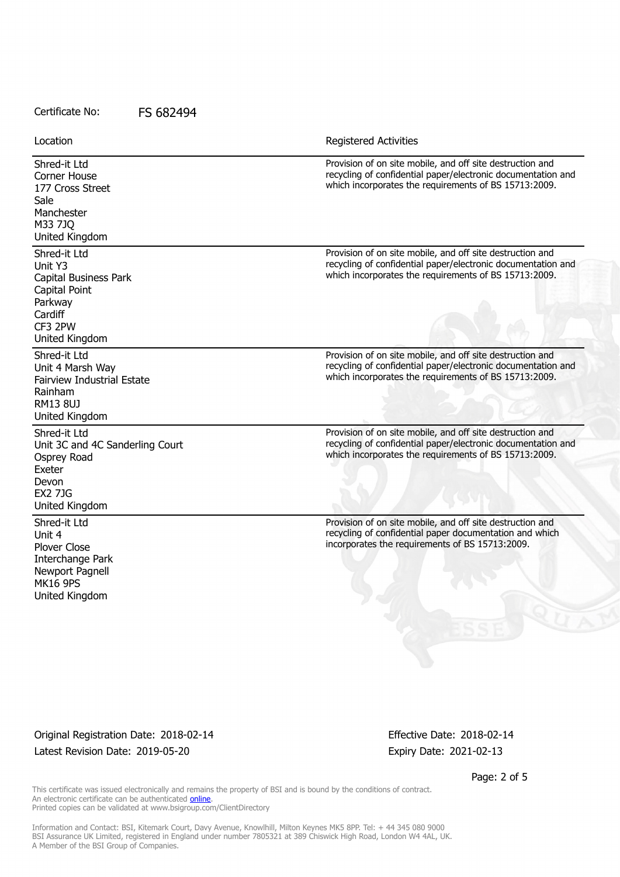Location **Exercise 2018 Location Registered Activities** 

| Shred-it Ltd<br><b>Corner House</b><br>177 Cross Street<br>Sale<br>Manchester<br>M33 7JQ<br>United Kingdom                | Provision of on site mobile, and off site destruction and<br>recycling of confidential paper/electronic documentation and<br>which incorporates the requirements of BS 15713:2009. |
|---------------------------------------------------------------------------------------------------------------------------|------------------------------------------------------------------------------------------------------------------------------------------------------------------------------------|
| Shred-it Ltd<br>Unit Y3<br>Capital Business Park<br>Capital Point<br>Parkway<br>Cardiff<br>CF3 2PW<br>United Kingdom      | Provision of on site mobile, and off site destruction and<br>recycling of confidential paper/electronic documentation and<br>which incorporates the requirements of BS 15713:2009. |
| Shred-it Ltd<br>Unit 4 Marsh Way<br><b>Fairview Industrial Estate</b><br>Rainham<br><b>RM13 8UJ</b><br>United Kingdom     | Provision of on site mobile, and off site destruction and<br>recycling of confidential paper/electronic documentation and<br>which incorporates the requirements of BS 15713:2009. |
| Shred-it Ltd<br>Unit 3C and 4C Sanderling Court<br>Osprey Road<br>Exeter<br>Devon<br><b>EX2 7JG</b><br>United Kingdom     | Provision of on site mobile, and off site destruction and<br>recycling of confidential paper/electronic documentation and<br>which incorporates the requirements of BS 15713:2009. |
| Shred-it Ltd<br>Unit 4<br><b>Plover Close</b><br>Interchange Park<br>Newport Pagnell<br><b>MK16 9PS</b><br>United Kingdom | Provision of on site mobile, and off site destruction and<br>recycling of confidential paper documentation and which<br>incorporates the requirements of BS 15713:2009.            |

Original Registration Date: 2018-02-14 Effective Date: 2018-02-14 Latest Revision Date: 2019-05-20 **Expiry Date: 2021-02-13** 

Page: 2 of 5

100 S

This certificate was issued electronically and remains the property of BSI and is bound by the conditions of contract. An electronic certificate can be authenticated **[online](https://pgplus.bsigroup.com/CertificateValidation/CertificateValidator.aspx?CertificateNumber=FS+682494&ReIssueDate=20%2f05%2f2019&Template=uk)**. Printed copies can be validated at www.bsigroup.com/ClientDirectory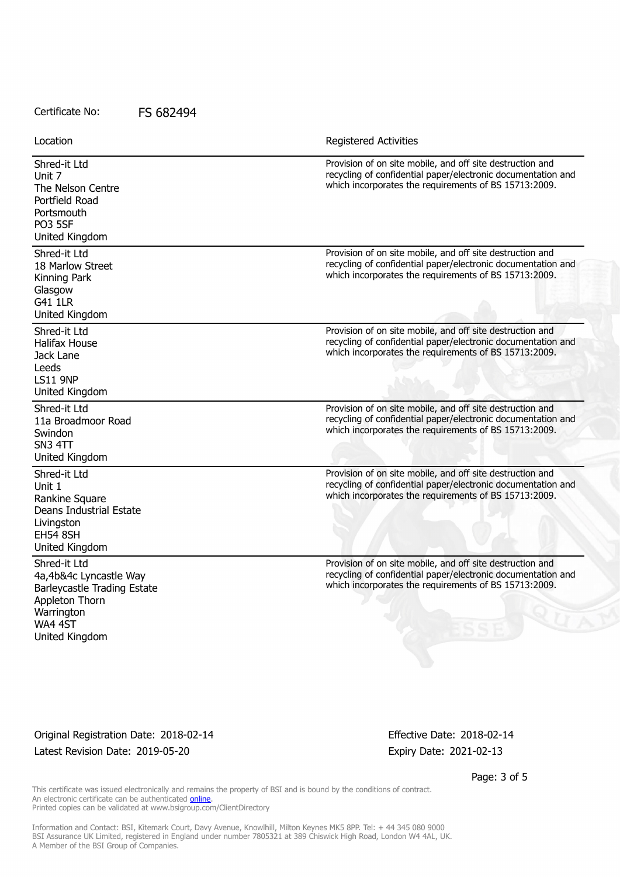| Location                                                                                                                            | <b>Registered Activities</b>                                                                                                                                                                     |
|-------------------------------------------------------------------------------------------------------------------------------------|--------------------------------------------------------------------------------------------------------------------------------------------------------------------------------------------------|
| Shred-it Ltd<br>Unit 7<br>The Nelson Centre<br>Portfield Road<br>Portsmouth<br><b>PO3 5SF</b><br>United Kingdom                     | Provision of on site mobile, and off site destruction and<br>recycling of confidential paper/electronic documentation and<br>which incorporates the requirements of BS 15713:2009.               |
| Shred-it Ltd<br>18 Marlow Street<br>Kinning Park<br>Glasgow<br>G41 1LR<br>United Kingdom                                            | Provision of on site mobile, and off site destruction and<br>recycling of confidential paper/electronic documentation and<br>which incorporates the requirements of BS 15713:2009.               |
| Shred-it Ltd<br><b>Halifax House</b><br>Jack Lane<br>Leeds<br><b>LS11 9NP</b><br>United Kingdom                                     | Provision of on site mobile, and off site destruction and<br>recycling of confidential paper/electronic documentation and<br>which incorporates the requirements of BS 15713:2009.               |
| Shred-it Ltd<br>11a Broadmoor Road<br>Swindon<br>SN3 4TT<br>United Kingdom                                                          | Provision of on site mobile, and off site destruction and<br>recycling of confidential paper/electronic documentation and<br>which incorporates the requirements of BS 15713:2009.               |
| Shred-it Ltd<br>Unit 1<br>Rankine Square<br>Deans Industrial Estate<br>Livingston<br><b>EH54 8SH</b><br>United Kingdom              | Provision of on site mobile, and off site destruction and<br>recycling of confidential paper/electronic documentation and<br>which incorporates the requirements of BS 15713:2009.               |
| Shred-it Ltd<br>4a, 4b&4c Lyncastle Way<br>Barleycastle Trading Estate<br>Appleton Thorn<br>Warrington<br>WA4 4ST<br>United Kingdom | Provision of on site mobile, and off site destruction and<br>recycling of confidential paper/electronic documentation and<br>which incorporates the requirements of BS 15713:2009.<br><b>ESS</b> |

Original Registration Date: 2018-02-14 Effective Date: 2018-02-14 Latest Revision Date: 2019-05-20 **Expiry Date: 2021-02-13** 

Page: 3 of 5

This certificate was issued electronically and remains the property of BSI and is bound by the conditions of contract. An electronic certificate can be authenticated **[online](https://pgplus.bsigroup.com/CertificateValidation/CertificateValidator.aspx?CertificateNumber=FS+682494&ReIssueDate=20%2f05%2f2019&Template=uk)**. Printed copies can be validated at www.bsigroup.com/ClientDirectory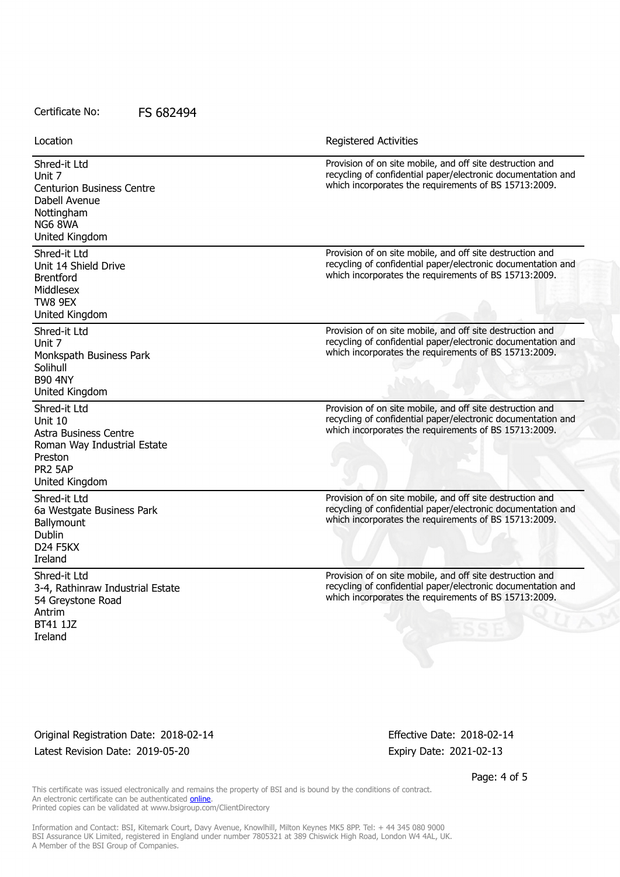| Location                                                                                                                | <b>Registered Activities</b>                                                                                                                                                       |
|-------------------------------------------------------------------------------------------------------------------------|------------------------------------------------------------------------------------------------------------------------------------------------------------------------------------|
| Shred-it Ltd<br>Unit 7<br><b>Centurion Business Centre</b><br>Dabell Avenue<br>Nottingham<br>NG6 8WA<br>United Kingdom  | Provision of on site mobile, and off site destruction and<br>recycling of confidential paper/electronic documentation and<br>which incorporates the requirements of BS 15713:2009. |
| Shred-it Ltd<br>Unit 14 Shield Drive<br><b>Brentford</b><br>Middlesex<br>TW8 9EX<br>United Kingdom                      | Provision of on site mobile, and off site destruction and<br>recycling of confidential paper/electronic documentation and<br>which incorporates the requirements of BS 15713:2009. |
| Shred-it Ltd<br>Unit 7<br>Monkspath Business Park<br>Solihull<br><b>B90 4NY</b><br>United Kingdom                       | Provision of on site mobile, and off site destruction and<br>recycling of confidential paper/electronic documentation and<br>which incorporates the requirements of BS 15713:2009. |
| Shred-it Ltd<br>Unit 10<br>Astra Business Centre<br>Roman Way Industrial Estate<br>Preston<br>PR2 5AP<br>United Kingdom | Provision of on site mobile, and off site destruction and<br>recycling of confidential paper/electronic documentation and<br>which incorporates the requirements of BS 15713:2009. |
| Shred-it Ltd<br>6a Westgate Business Park<br>Ballymount<br>Dublin<br>D <sub>24</sub> F <sub>5</sub> KX<br>Ireland       | Provision of on site mobile, and off site destruction and<br>recycling of confidential paper/electronic documentation and<br>which incorporates the requirements of BS 15713:2009. |
| Shred-it Ltd<br>3-4, Rathinraw Industrial Estate<br>54 Greystone Road<br>Antrim<br>BT41 1JZ<br>Ireland                  | Provision of on site mobile, and off site destruction and<br>recycling of confidential paper/electronic documentation and<br>which incorporates the requirements of BS 15713:2009. |

Original Registration Date: 2018-02-14 Effective Date: 2018-02-14 Latest Revision Date: 2019-05-20 Expiry Date: 2021-02-13

Page: 4 of 5

This certificate was issued electronically and remains the property of BSI and is bound by the conditions of contract. An electronic certificate can be authenticated **[online](https://pgplus.bsigroup.com/CertificateValidation/CertificateValidator.aspx?CertificateNumber=FS+682494&ReIssueDate=20%2f05%2f2019&Template=uk)**. Printed copies can be validated at www.bsigroup.com/ClientDirectory